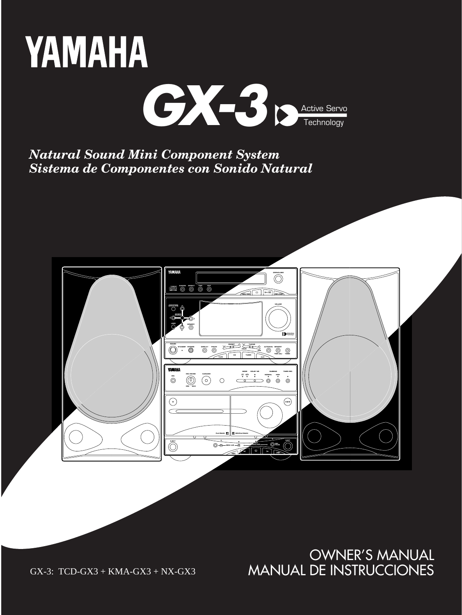

*Natural Sound Mini Component System Sistema de Componentes con Sonido Natural*



OWNER'S MANUAL MANUAL DE INSTRUCCIONES

GX-3: TCD-GX3 + KMA-GX3 + NX-GX3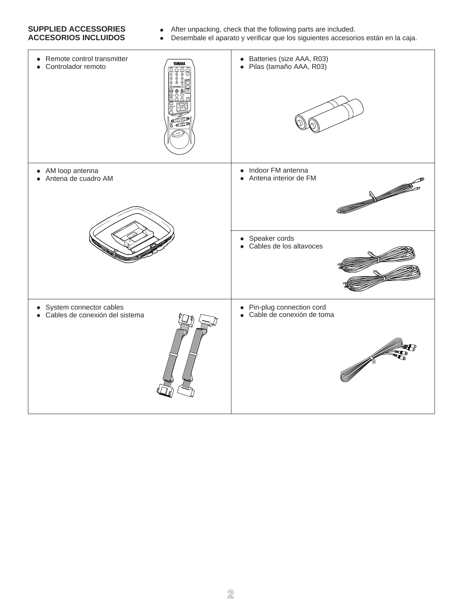# **SUPPLIED ACCESSORIES** • After unpacking, check that the following parts are included.<br>**ACCESORIOS INCLUIDOS** • Desembale el aparato y verificar que los siguientes accesori

- 
- Desembale el aparato y verificar que los siguientes accesorios están en la caja.

| Remote control transmitter<br>$\bullet$<br><b>YAMAHA</b><br>Controlador remoto<br>$\bullet$<br>ই বছ | • Batteries (size AAA, R03)<br>· Pilas (tamaño AAA, R03)  |
|-----------------------------------------------------------------------------------------------------|-----------------------------------------------------------|
| • AM loop antenna<br>Antena de cuadro AM<br>$\bullet$                                               | • Indoor FM antenna<br>• Antena interior de FM            |
|                                                                                                     | • Speaker cords<br>• Cables de los altavoces              |
| • System connector cables<br>• Cables de conexión del sistema                                       | • Pin-plug connection cord<br>• Cable de conexión de toma |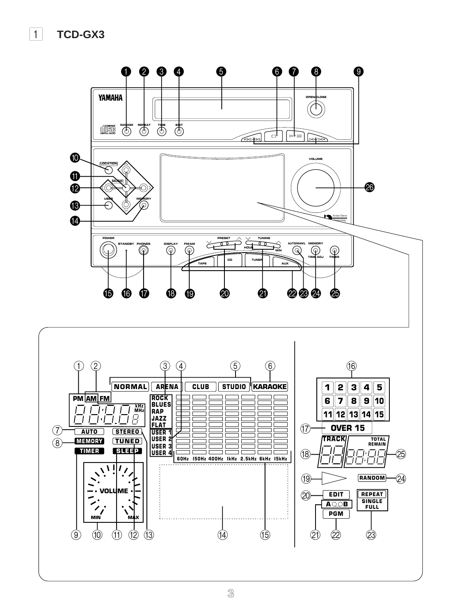1 **TCD-GX3**

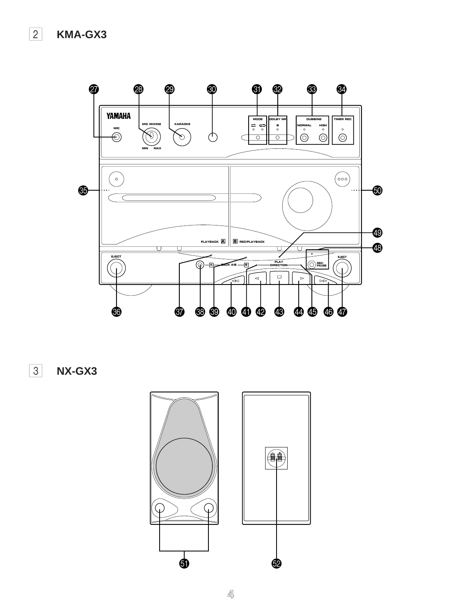

3 **NX-GX3**



**4**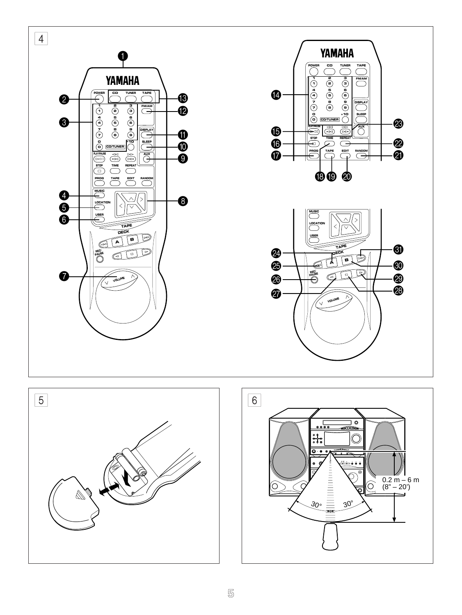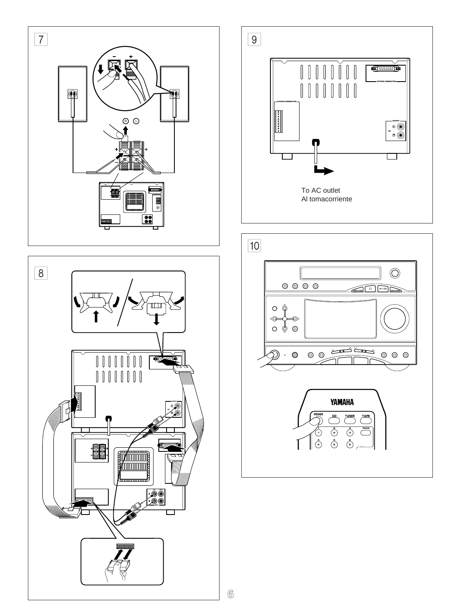



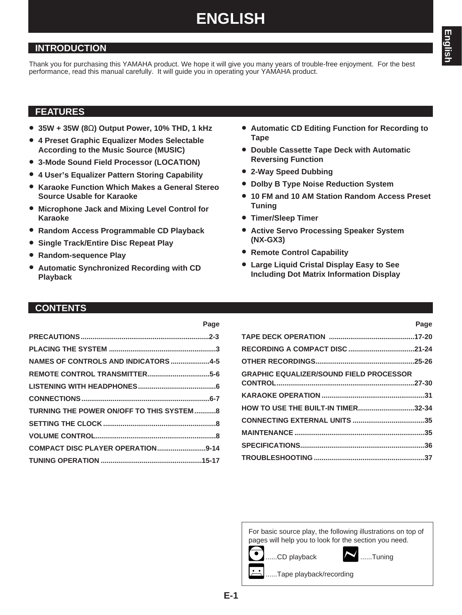# **ENGLISH**

### **INTRODUCTION**

Thank you for purchasing this YAMAHA product. We hope it will give you many years of trouble-free enjoyment. For the best performance, read this manual carefully. It will guide you in operating your YAMAHA product.

**Page**

### **FEATURES**

- **35W + 35W (8**Ω**) Output Power, 10% THD, 1 kHz**
- **4 Preset Graphic Equalizer Modes Selectable According to the Music Source (MUSIC)**
- **3-Mode Sound Field Processor (LOCATION)**
- **4 User's Equalizer Pattern Storing Capability**
- **Karaoke Function Which Makes a General Stereo Source Usable for Karaoke**
- **Microphone Jack and Mixing Level Control for Karaoke**
- **Random Access Programmable CD Playback**
- **Single Track/Entire Disc Repeat Play**
- **Random-sequence Play**
- **Automatic Synchronized Recording with CD Playback**
- **Automatic CD Editing Function for Recording to Tape**
- **Double Cassette Tape Deck with Automatic Reversing Function**
- **2-Way Speed Dubbing**
- **Dolby B Type Noise Reduction System**
- **10 FM and 10 AM Station Random Access Preset Tuning**
- **Timer/Sleep Timer**
- **Active Servo Processing Speaker System (NX-GX3)**
- **Remote Control Capability**
- **Large Liquid Cristal Display Easy to See Including Dot Matrix Information Display**

### **CONTENTS**

| NAMES OF CONTROLS AND INDICATORS 4-5      |  |
|-------------------------------------------|--|
|                                           |  |
|                                           |  |
|                                           |  |
| TURNING THE POWER ON/OFF TO THIS SYSTEM 8 |  |
|                                           |  |
|                                           |  |
| COMPACT DISC PLAYER OPERATION9-14         |  |
|                                           |  |
|                                           |  |

| <b>GRAPHIC EQUALIZER/SOUND FIELD PROCESSOR</b> |  |
|------------------------------------------------|--|
|                                                |  |
|                                                |  |
| HOW TO USE THE BUILT-IN TIMER32-34             |  |
|                                                |  |
|                                                |  |
|                                                |  |
|                                                |  |

For basic source play, the following illustrations on top of pages will help you to look for the section you need.



**Page**

..Tape playback/recording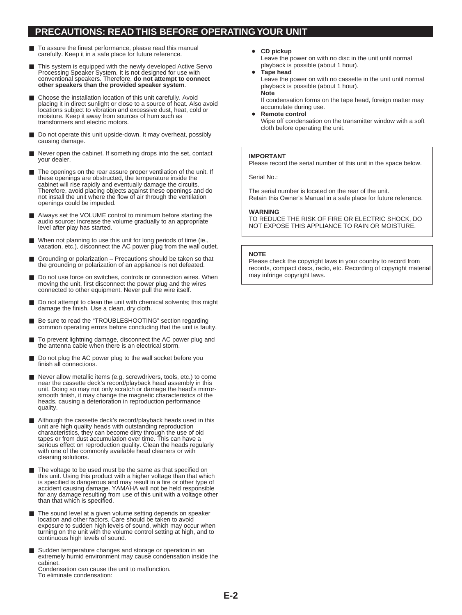### **PRECAUTIONS: READ THIS BEFORE OPERATING YOUR UNIT**

- To assure the finest performance, please read this manual carefully. Keep it in a safe place for future reference.
- This system is equipped with the newly developed Active Servo Processing Speaker System. It is not designed for use with conventional speakers. Therefore, **do not attempt to connect other speakers than the provided speaker system**.
- Choose the installation location of this unit carefully. Avoid placing it in direct sunlight or close to a source of heat. Also avoid locations subject to vibration and excessive dust, heat, cold or moisture. Keep it away from sources of hum such as transformers and electric motors.
- Do not operate this unit upside-down. It may overheat, possibly causing damage.
- Never open the cabinet. If something drops into the set, contact your dealer.
- The openings on the rear assure proper ventilation of the unit. If these openings are obstructed, the temperature inside the cabinet will rise rapidly and eventually damage the circuits. Therefore, avoid placing objects against these openings and do not install the unit where the flow of air through the ventilation openings could be impeded.
- Always set the VOLUME control to minimum before starting the audio source: increase the volume gradually to an appropriate level after play has started.
- When not planning to use this unit for long periods of time (ie., vacation, etc.), disconnect the AC power plug from the wall outlet.
- Grounding or polarization Precautions should be taken so that the grounding or polarization of an appliance is not defeated.
- Do not use force on switches, controls or connection wires. When moving the unit, first disconnect the power plug and the wires connected to other equipment. Never pull the wire itself.
- Do not attempt to clean the unit with chemical solvents; this might damage the finish. Use a clean, dry cloth.
- Be sure to read the "TROUBLESHOOTING" section regarding common operating errors before concluding that the unit is faulty.
- To prevent lightning damage, disconnect the AC power plug and the antenna cable when there is an electrical storm.
- Do not plug the AC power plug to the wall socket before you finish all connections.
- Never allow metallic items (e.g. screwdrivers, tools, etc.) to come near the cassette deck's record/playback head assembly in this unit. Doing so may not only scratch or damage the head's mirrorsmooth finish, it may change the magnetic characteristics of the heads, causing a deterioration in reproduction performance quality.
- Although the cassette deck's record/playback heads used in this unit are high quality heads with outstanding reproduction characteristics, they can become dirty through the use of old tapes or from dust accumulation over time. This can have a serious effect on reproduction quality. Clean the heads regularly with one of the commonly available head cleaners or with cleaning solutions.
- The voltage to be used must be the same as that specified on this unit. Using this product with a higher voltage than that which is specified is dangerous and may result in a fire or other type of accident causing damage. YAMAHA will not be held responsible for any damage resulting from use of this unit with a voltage other than that which is specified.
- The sound level at a given volume setting depends on speaker location and other factors. Care should be taken to avoid exposure to sudden high levels of sound, which may occur when turning on the unit with the volume control setting at high, and to continuous high levels of sound.
- Sudden temperature changes and storage or operation in an extremely humid environment may cause condensation inside the cabinet.

Condensation can cause the unit to malfunction. To eliminate condensation:

• **CD pickup**

Leave the power on with no disc in the unit until normal playback is possible (about 1 hour).

• **Tape head**

Leave the power on with no cassette in the unit until normal playback is possible (about 1 hour). **Note**

If condensation forms on the tape head, foreign matter may accumulate during use.

• **Remote control** Wipe off condensation on the transmitter window with a soft cloth before operating the unit.

#### **IMPORTANT**

Please record the serial number of this unit in the space below.

Serial No.:

The serial number is located on the rear of the unit. Retain this Owner's Manual in a safe place for future reference.

#### **WARNING**

TO REDUCE THE RISK OF FIRE OR ELECTRIC SHOCK, DO NOT EXPOSE THIS APPLIANCE TO RAIN OR MOISTURE.

#### **NOTE**

Please check the copyright laws in your country to record from records, compact discs, radio, etc. Recording of copyright material may infringe copyright laws.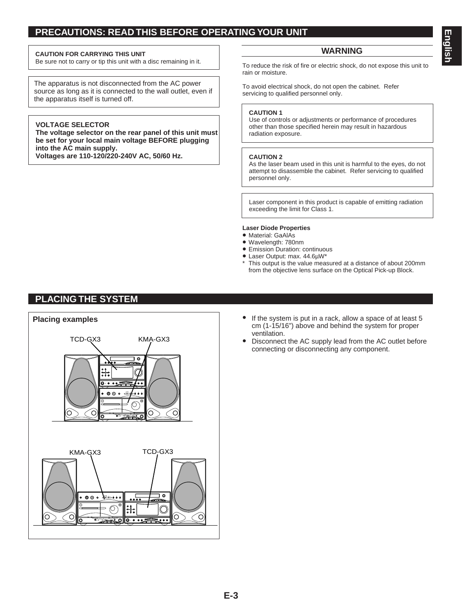### **PRECAUTIONS: READ THIS BEFORE OPERATING YOUR UNIT**

#### **CAUTION FOR CARRYING THIS UNIT**

Be sure not to carry or tip this unit with a disc remaining in it.

The apparatus is not disconnected from the AC power source as long as it is connected to the wall outlet, even if the apparatus itself is turned off.

#### **VOLTAGE SELECTOR**

**The voltage selector on the rear panel of this unit must be set for your local main voltage BEFORE plugging into the AC main supply. Voltages are 110-120/220-240V AC, 50/60 Hz.**

**WARNING**

To reduce the risk of fire or electric shock, do not expose this unit to rain or moisture.

To avoid electrical shock, do not open the cabinet. Refer servicing to qualified personnel only.

#### **CAUTION 1**

Use of controls or adjustments or performance of procedures other than those specified herein may result in hazardous radiation exposure.

#### **CAUTION 2**

As the laser beam used in this unit is harmful to the eyes, do not attempt to disassemble the cabinet. Refer servicing to qualified personnel only.

Laser component in this product is capable of emitting radiation exceeding the limit for Class 1.

#### **Laser Diode Properties**

- Material: GaAlAs
- Wavelength: 780nm
- Emission Duration: continuous
- Laser Output: max. 44.6µW\*
- \* This output is the value measured at a distance of about 200mm from the objective lens surface on the Optical Pick-up Block.

### **PLACING THE SYSTEM**



- cm (1-15/16") above and behind the system for proper ventilation.
- Disconnect the AC supply lead from the AC outlet before connecting or disconnecting any component.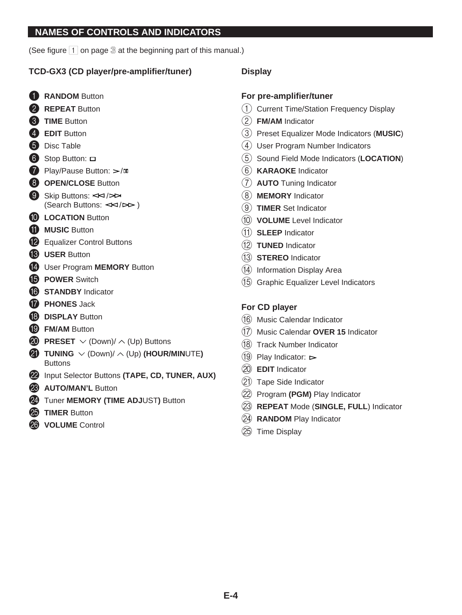### **NAMES OF CONTROLS AND INDICATORS**

(See figure 1 on page **3** at the beginning part of this manual.)

### **TCD-GX3 (CD player/pre-amplifier/tuner)**

- **1** RANDOM Button
- **2 REPEAT** Button
- 3 **TIME** Button
- 4 **EDIT** Button
- **6** Disc Table
- 6 Stop Button: □
- **Play/Pause Button:**  $\ge$ /m
- **8** OPEN/CLOSE Button
- 9 Skip Buttons:  $\leq$  / $\geq$ (Search Buttons:  $\leq$  /  $\geq$  )
- **10 LOCATION Button**
- **M** MUSIC Button
- **12** Equalizer Control Buttons
- **B** USER Button
- **12** User Program **MEMORY** Button
- **iB** POWER Switch
- **G** STANDBY Indicator
- **G PHONES** Jack
- **B** DISPLAY Button
- **ID FM/AM Button**
- **20 PRESET**  $\vee$  (Down)/  $\wedge$  (Up) Buttons
- **E** TUNING  $\vee$  (Down)/  $\wedge$  (Up) (HOUR/MINUTE) **Buttons**
- 22 Input Selector Buttons (TAPE, CD, TUNER, AUX)
- **23 AUTO/MAN'L Button**
- 24 Tuner **MEMORY** (TIME ADJUST) Button
- **<sup>25</sup>** TIMER Button
- 26 **VOLUME** Control

### **Display**

### **For pre-amplifier/tuner**

- 1 Current Time/Station Frequency Display
- 2 **FM/AM** Indicator
- 3 Preset Equalizer Mode Indicators (**MUSIC**)
- (4) User Program Number Indicators
- 5 Sound Field Mode Indicators (**LOCATION**)
- 6 **KARAOKE** Indicator
- 7 **AUTO** Tuning Indicator
- 8 **MEMORY** Indicator
- 9 **TIMER** Set Indicator
- 0 **VOLUME** Level Indicator
- A **SLEEP** Indicator
- B **TUNED** Indicator
- C **STEREO** Indicator
- $(14)$  Information Display Area
- (15) Graphic Equalizer Level Indicators

### **For CD player**

- (16) Music Calendar Indicator
- G Music Calendar **OVER 15** Indicator
- (18) Track Number Indicator
- $(19)$  Play Indicator:  $\triangleright$
- (20) **EDIT** Indicator
- (21) Tape Side Indicator
- (22) Program (PGM) Play Indicator
- M **REPEAT** Mode (**SINGLE, FULL**) Indicator
- (24) **RANDOM** Play Indicator
- $(25)$  Time Display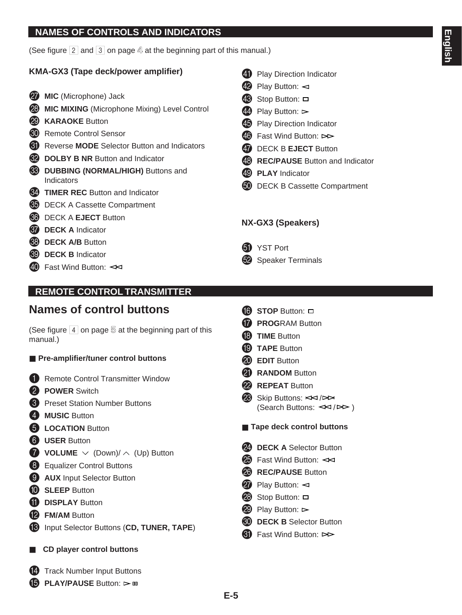### **NAMES OF CONTROLS AND INDICATORS**

(See figure 2 and 3 on page **4** at the beginning part of this manual.)

### **KMA-GX3 (Tape deck/power amplifier)**

- **<sup>27</sup>** MIC (Microphone) Jack
- **23 MIC MIXING** (Microphone Mixing) Level Control
- **29 KARAOKE** Button
- **60** Remote Control Sensor
- **CD** Reverse **MODE** Selector Button and Indicators
- **<sup>69</sup>** DOLBY B NR Button and Indicator
- **WBBING (NORMAL/HIGH)** Buttons and Indicators
- **K2 TIMER REC** Button and Indicator
- **C** DECK A Cassette Compartment
- **83** DECK A **EJECT** Button
- **87 DECK A** Indicator
- **88 DECK A/B** Button
- **69 DECK B** Indicator
- $\overline{40}$  Fast Wind Button:  $\leq$
- 41 Play Direction Indicator
- $\overline{42}$  Play Button:  $\triangleleft$
- 43 Stop Button:  $\Box$
- $\overline{44}$  Play Button:  $\triangleright$
- 45 Play Direction Indicator
- 46 Fast Wind Button: DD
- **G** DECK B **EJECT** Button
- **43** REC/PAUSE Button and Indicator
- 49 **PLAY** Indicator
- **60** DECK B Cassette Compartment

### **NX-GX3 (Speakers)**

- **6** YST Port
- **82** Speaker Terminals

# **REMOTE CONTROL TRANSMITTER**

# **Names of control buttons**

(See figure  $\overline{4}$  on page  $\overline{5}$  at the beginning part of this manual.)

- **Pre-amplifier/tuner control buttons**
- **1** Remote Control Transmitter Window
- 2 **POWER** Switch
- **3** Preset Station Number Buttons
- 4 **MUSIC** Button
- **6 LOCATION** Button
- 6 **USER** Button
- **2 VOLUME**  $\vee$  (Down)/  $\wedge$  (Up) Button
- 8 Equalizer Control Buttons
- **9 AUX** Input Selector Button
- **10 SLEEP** Button
- **10 DISPLAY** Button
- **12 FM/AM** Button
- C Input Selector Buttons (**CD, TUNER, TAPE**)
- CD player control buttons
- 14 Track Number Input Buttons
- **(5) PLAY/PAUSE** Button: ⊳ m
- **STOP** Button:  $\Box$
- **G PROGRAM Button**
- **18** TIME Button
- **IO** TAPE Button
- **20** EDIT Button
- **21** RANDOM Button
- 22 REPEAT Button
- $\otimes$  Skip Buttons:  $\leq$  / $\geq$ (Search Buttons:  $\leq$  /  $\triangleright$  )
- **Tape deck control buttons**
- 24 **DECK A** Selector Button
- $\circled{2}$  Fast Wind Button:  $\prec$
- **28** REC/PAUSE Button
- $\Omega$  Play Button:  $\lhd$
- $\circled{2}$  Stop Button:  $\Box$
- $\bullet$  Play Button:  $\triangleright$
- **60** DECK B Selector Button
- $\bigcirc$  Fast Wind Button:  $>$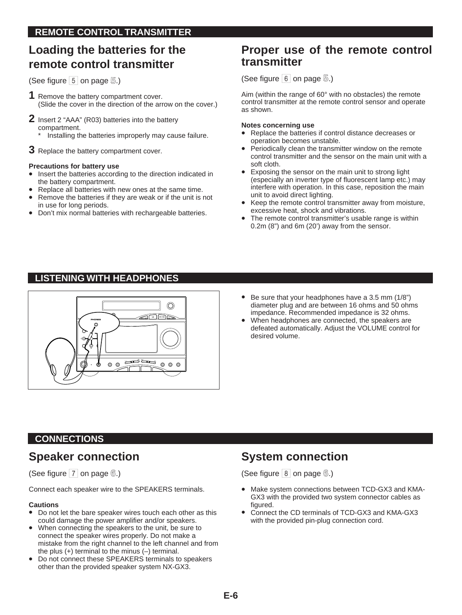# **Loading the batteries for the remote control transmitter**

(See figure 5 on page **5**.)

- **1** Remove the battery compartment cover. (Slide the cover in the direction of the arrow on the cover.)
- **2** Insert 2 "AAA" (R03) batteries into the battery compartment.

Installing the batteries improperly may cause failure.

**3** Replace the battery compartment cover.

#### **Precautions for battery use**

- Insert the batteries according to the direction indicated in the battery compartment.
- Replace all batteries with new ones at the same time.
- Remove the batteries if they are weak or if the unit is not in use for long periods.
- Don't mix normal batteries with rechargeable batteries.

# **Proper use of the remote control transmitter**

(See figure 6 on page **5**.)

Aim (within the range of 60° with no obstacles) the remote control transmitter at the remote control sensor and operate as shown.

#### **Notes concerning use**

- Replace the batteries if control distance decreases or operation becomes unstable.
- Periodically clean the transmitter window on the remote control transmitter and the sensor on the main unit with a soft cloth.
- Exposing the sensor on the main unit to strong light (especially an inverter type of fluorescent lamp etc.) may interfere with operation. In this case, reposition the main unit to avoid direct lighting.
- Keep the remote control transmitter away from moisture, excessive heat, shock and vibrations.
- The remote control transmitter's usable range is within 0.2m (8") and 6m (20') away from the sensor.

# **LISTENING WITH HEADPHONES**



- Be sure that your headphones have a 3.5 mm (1/8") diameter plug and are between 16 ohms and 50 ohms impedance. Recommended impedance is 32 ohms.
- When headphones are connected, the speakers are defeated automatically. Adjust the VOLUME control for desired volume.

# **CONNECTIONS**

# **Speaker connection**

(See figure 7 on page **6**.)

Connect each speaker wire to the SPEAKERS terminals.

#### **Cautions**

- Do not let the bare speaker wires touch each other as this could damage the power amplifier and/or speakers.
- When connecting the speakers to the unit, be sure to connect the speaker wires properly. Do not make a mistake from the right channel to the left channel and from the plus  $(+)$  terminal to the minus  $(-)$  terminal.
- Do not connect these SPEAKERS terminals to speakers other than the provided speaker system NX-GX3.

# **System connection**

(See figure 8 on page **6**.)

- Make system connections between TCD-GX3 and KMA-GX3 with the provided two system connector cables as figured.
- Connect the CD terminals of TCD-GX3 and KMA-GX3 with the provided pin-plug connection cord.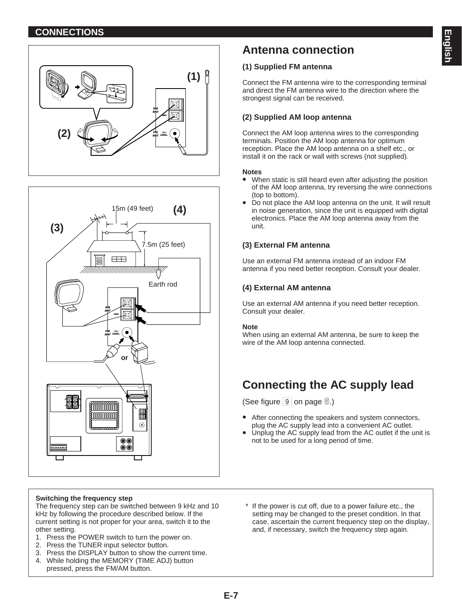### **CONNECTIONS**





#### **Switching the frequency step**

The frequency step can be switched between 9 kHz and 10 kHz by following the procedure described below. If the current setting is not proper for your area, switch it to the other setting.

- 1. Press the POWER switch to turn the power on.
- 2. Press the TUNER input selector button.
- 3. Press the DISPLAY button to show the current time.
- 4. While holding the MEMORY (TIME ADJ) button pressed, press the FM/AM button.

# **Antenna connection**

#### **(1) Supplied FM antenna**

Connect the FM antenna wire to the corresponding terminal and direct the FM antenna wire to the direction where the strongest signal can be received.

### **(2) Supplied AM loop antenna**

Connect the AM loop antenna wires to the corresponding terminals. Position the AM loop antenna for optimum reception. Place the AM loop antenna on a shelf etc., or install it on the rack or wall with screws (not supplied).

#### **Notes**

- When static is still heard even after adjusting the position of the AM loop antenna, try reversing the wire connections (top to bottom).
- Do not place the AM loop antenna on the unit. It will result in noise generation, since the unit is equipped with digital electronics. Place the AM loop antenna away from the unit.

#### **(3) External FM antenna**

Use an external FM antenna instead of an indoor FM antenna if you need better reception. Consult your dealer.

#### **(4) External AM antenna**

Use an external AM antenna if you need better reception. Consult your dealer.

#### **Note**

When using an external AM antenna, be sure to keep the wire of the AM loop antenna connected.

# **Connecting the AC supply lead**

(See figure 9 on page **6**.)

- After connecting the speakers and system connectors, plug the AC supply lead into a convenient AC outlet.
- Unplug the AC supply lead from the AC outlet if the unit is not to be used for a long period of time.
- \* If the power is cut off, due to a power failure etc., the setting may be changed to the preset condition. In that case, ascertain the current frequency step on the display, and, if necessary, switch the frequency step again.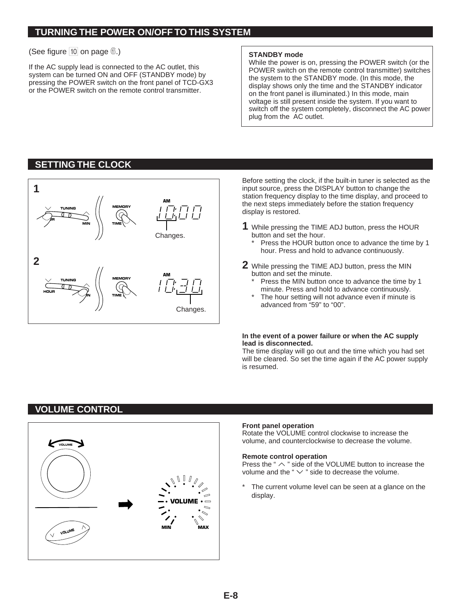### **TURNING THE POWER ON/OFF TO THIS SYSTEM**

#### (See figure 10 on page  $\textcircled{\tiny 8}$ .)

If the AC supply lead is connected to the AC outlet, this system can be turned ON and OFF (STANDBY mode) by pressing the POWER switch on the front panel of TCD-GX3 or the POWER switch on the remote control transmitter.

#### **STANDBY mode**

While the power is on, pressing the POWER switch (or the POWER switch on the remote control transmitter) switches the system to the STANDBY mode. (In this mode, the display shows only the time and the STANDBY indicator on the front panel is illuminated.) In this mode, main voltage is still present inside the system. If you want to switch off the system completely, disconnect the AC power plug from the AC outlet.

### **SETTING THE CLOCK**



Before setting the clock, if the built-in tuner is selected as the input source, press the DISPLAY button to change the station frequency display to the time display, and proceed to the next steps immediately before the station frequency display is restored.

- **1** While pressing the TIME ADJ button, press the HOUR button and set the hour.
	- Press the HOUR button once to advance the time by 1 hour. Press and hold to advance continuously.
- **2** While pressing the TIME ADJ button, press the MIN button and set the minute.
	- Press the MIN button once to advance the time by 1 minute. Press and hold to advance continuously.
	- The hour setting will not advance even if minute is advanced from "59" to "00".

#### **In the event of a power failure or when the AC supply lead is disconnected.**

The time display will go out and the time which you had set will be cleared. So set the time again if the AC power supply is resumed.

# **VOLUME CONTROL**



#### **Front panel operation**

Rotate the VOLUME control clockwise to increase the volume, and counterclockwise to decrease the volume.

#### **Remote control operation**

Press the " $\land$  " side of the VOLUME button to increase the volume and the " $\vee$ " side to decrease the volume.

The current volume level can be seen at a glance on the display.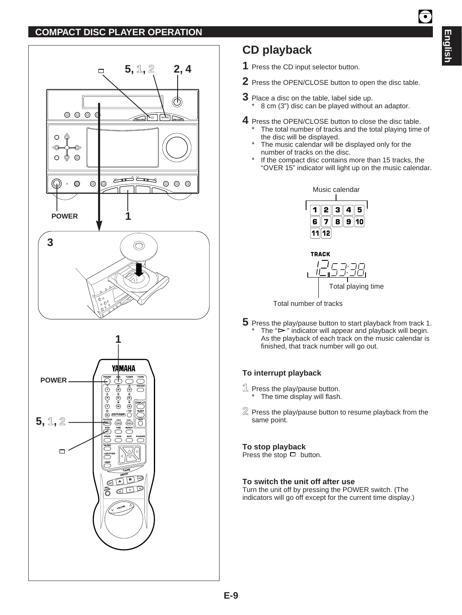### **COMPACT DISC PLAYER OPERATION**



# **CD playback**

- **1** Press the CD input selector button.
- **2** Press the OPEN/CLOSE button to open the disc table.
- **3** Place a disc on the table, label side up.
	- $\frac{1}{8}$  cm (3") disc can be played without an adaptor.
- **4** Press the OPEN/CLOSE button to close the disc table.
	- The total number of tracks and the total playing time of the disc will be displayed.
	- The music calendar will be displayed only for the number of tracks on the disc.
	- If the compact disc contains more than 15 tracks, the "OVER 15" indicator will light up on the music calendar.







**5** Press the play/pause button to start playback from track 1. The " $\Rightarrow$ " indicator will appear and playback will begin. As the playback of each track on the music calendar is finished, that track number will go out.

### **To interrupt playback**

- **1** Press the play/pause button. \* The time display will flash.
- **2** Press the play/pause button to resume playback from the same point.

#### **To stop playback**

Press the stop  $\Box$  button.

#### **To switch the unit off after use**

Turn the unit off by pressing the POWER switch. (The indicators will go off except for the current time display.) **Englis**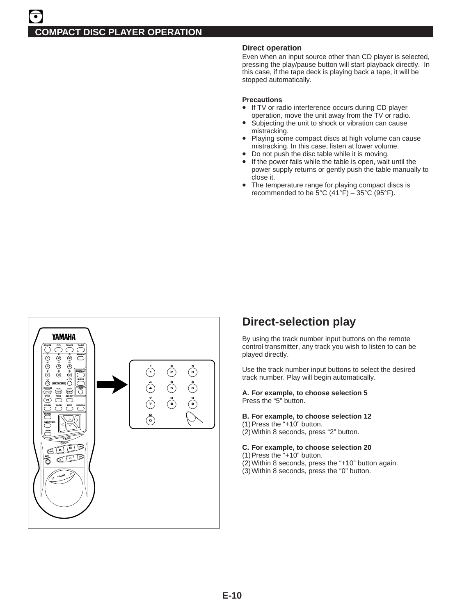#### **Direct operation**

Even when an input source other than CD player is selected, pressing the play/pause button will start playback directly. In this case, if the tape deck is playing back a tape, it will be stopped automatically.

#### **Precautions**

- If TV or radio interference occurs during CD player operation, move the unit away from the TV or radio.
- Subjecting the unit to shock or vibration can cause mistracking.
- Playing some compact discs at high volume can cause mistracking. In this case, listen at lower volume.
- Do not push the disc table while it is moving.
- If the power fails while the table is open, wait until the power supply returns or gently push the table manually to close it.
- The temperature range for playing compact discs is recommended to be  $5^{\circ}$ C (41 $^{\circ}$ F) – 35 $^{\circ}$ C (95 $^{\circ}$ F).



# **Direct-selection play**

By using the track number input buttons on the remote control transmitter, any track you wish to listen to can be played directly.

Use the track number input buttons to select the desired track number. Play will begin automatically.

**A. For example, to choose selection 5** Press the "5" button.

#### **B. For example, to choose selection 12**

- (1)Press the "+10" button.
- (2)Within 8 seconds, press "2" button.
- **C. For example, to choose selection 20**
- (1)Press the "+10" button.
- (2)Within 8 seconds, press the "+10" button again.
- (3)Within 8 seconds, press the "0" button.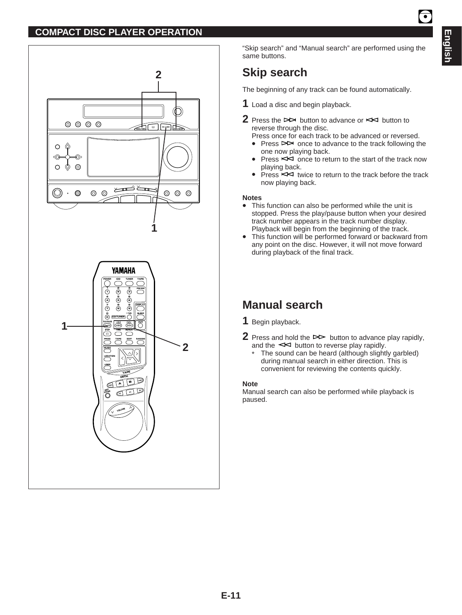### **COMPACT DISC PLAYER OPERATION**



"Skip search" and "Manual search" are performed using the same buttons.

# **Skip search**

The beginning of any track can be found automatically.

- **1** Load a disc and begin playback.
- **2** Press the  $\triangleright$  button to advance or  $\leq$  button to reverse through the disc.
	- Press once for each track to be advanced or reversed.
	- Press  $\triangleright$  once to advance to the track following the one now playing back.
	- Press  $R$  once to return to the start of the track now playing back.
	- Press  $\leq$  twice to return to the track before the track now playing back.

#### **Notes**

- This function can also be performed while the unit is stopped. Press the play/pause button when your desired track number appears in the track number display. Playback will begin from the beginning of the track.
- This function will be performed forward or backward from any point on the disc. However, it will not move forward during playback of the final track.

# **Manual search**

**1** Begin playback.

- **2** Press and hold the  $\triangleright$  button to advance play rapidly, and the  $\leq$  button to reverse play rapidly.
	- The sound can be heard (although slightly garbled) during manual search in either direction. This is convenient for reviewing the contents quickly.

#### **Note**

Manual search can also be performed while playback is paused.

 $\overline{\bullet}$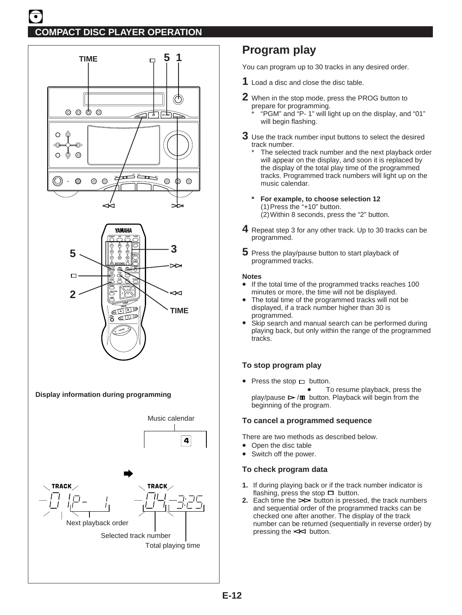



**Display information during programming**



# **Program play**

You can program up to 30 tracks in any desired order.

- **1** Load a disc and close the disc table.
- **2** When in the stop mode, press the PROG button to prepare for programming.
	- \* "PGM" and "P- 1" will light up on the display, and "01" will begin flashing.
- **3** Use the track number input buttons to select the desired track number.
	- The selected track number and the next playback order will appear on the display, and soon it is replaced by the display of the total play time of the programmed tracks. Programmed track numbers will light up on the music calendar.
	- **\* For example, to choose selection 12** (1)Press the "+10" button. (2)Within 8 seconds, press the "2" button.
- **4** Repeat step 3 for any other track. Up to 30 tracks can be programmed.
- **5** Press the play/pause button to start playback of programmed tracks.

#### **Notes**

- If the total time of the programmed tracks reaches 100 minutes or more, the time will not be displayed.
- The total time of the programmed tracks will not be displayed, if a track number higher than 30 is programmed.
- Skip search and manual search can be performed during playing back, but only within the range of the programmed tracks.

#### **To stop program play**

- Press the stop  $\Box$  button.
	- To resume playback, press the  $p \mid a$  play/pause  $\triangleright$  / $\blacksquare$  button. Playback will begin from the beginning of the program.

#### **To cancel a programmed sequence**

There are two methods as described below.

- Open the disc table
- Switch off the power.

#### **To check program data**

- **1.** If during playing back or if the track number indicator is flashing, press the stop  $\Box$  button.
- **2.** Each time the  $\triangleright$  button is pressed, the track numbers and sequential order of the programmed tracks can be checked one after another. The display of the track number can be returned (sequentially in reverse order) by pressing the  $\leq$  button.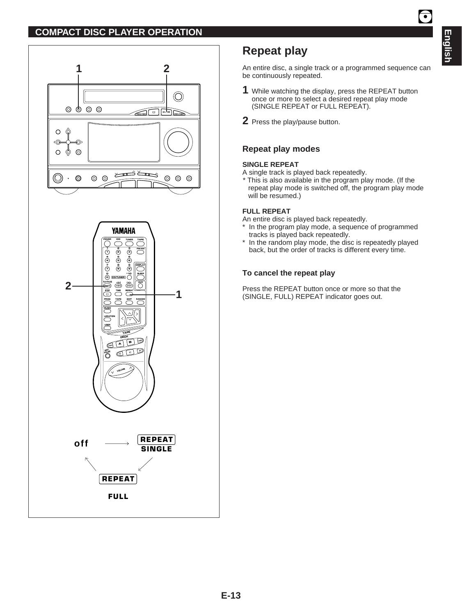### **COMPACT DISC PLAYER OPERATION**





# **Repeat play**

An entire disc, a single track or a programmed sequence can be continuously repeated.

- **1** While watching the display, press the REPEAT button once or more to select a desired repeat play mode (SINGLE REPEAT or FULL REPEAT).
- **2** Press the play/pause button.

### **Repeat play modes**

#### **SINGLE REPEAT**

A single track is played back repeatedly.

\* This is also available in the program play mode. (If the repeat play mode is switched off, the program play mode will be resumed.)

#### **FULL REPEAT**

An entire disc is played back repeatedly.

- \* In the program play mode, a sequence of programmed tracks is played back repeatedly.
- In the random play mode, the disc is repeatedly played back, but the order of tracks is different every time.

#### **To cancel the repeat play**

Press the REPEAT button once or more so that the (SINGLE, FULL) REPEAT indicator goes out.

 $\overline{\bullet}$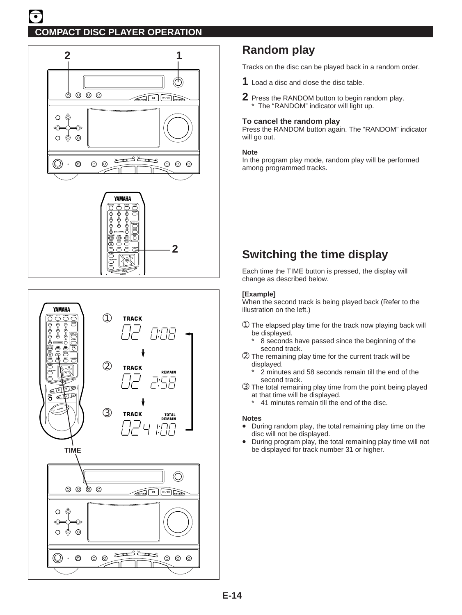



# **Random play**

Tracks on the disc can be played back in a random order.

- **1** Load a disc and close the disc table.
- **2** Press the RANDOM button to begin random play. \* The "RANDOM" indicator will light up.

#### **To cancel the random play**

Press the RANDOM button again. The "RANDOM" indicator will go out.

#### **Note**

In the program play mode, random play will be performed among programmed tracks.

# **Switching the time display**

Each time the TIME button is pressed, the display will change as described below.

#### **[Example]**

When the second track is being played back (Refer to the illustration on the left.)

- ➀ The elapsed play time for the track now playing back will be displayed.
	- 8 seconds have passed since the beginning of the second track.
- ➁ The remaining play time for the current track will be displayed.
	- 2 minutes and 58 seconds remain till the end of the second track.
- ➂ The total remaining play time from the point being played at that time will be displayed.
	- \* 41 minutes remain till the end of the disc.

#### **Notes**

- During random play, the total remaining play time on the disc will not be displayed.
- During program play, the total remaining play time will not be displayed for track number 31 or higher.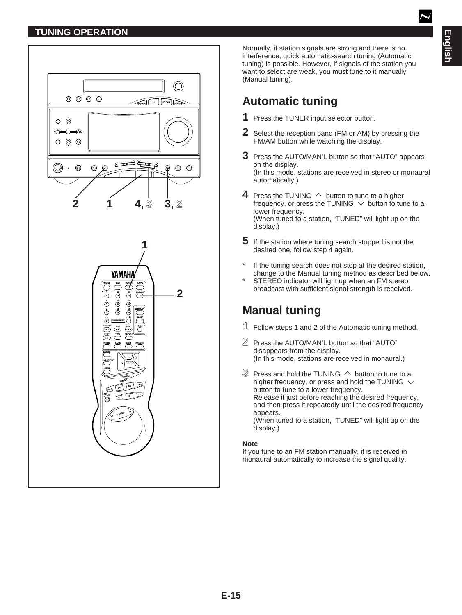# **TUNING OPERATION**



Normally, if station signals are strong and there is no interference, quick automatic-search tuning (Automatic tuning) is possible. However, if signals of the station you want to select are weak, you must tune to it manually (Manual tuning).

# **Automatic tuning**

- **1** Press the TUNER input selector button.
- **2** Select the reception band (FM or AM) by pressing the FM/AM button while watching the display.
- **3** Press the AUTO/MAN'L button so that "AUTO" appears on the display. (In this mode, stations are received in stereo or monaural automatically.)
- **4** Press the TUNING  $\land$  button to tune to a higher frequency, or press the TUNING  $\vee$  button to tune to a lower frequency. (When tuned to a station, "TUNED" will light up on the display.)
- **5** If the station where tuning search stopped is not the desired one, follow step 4 again.
- If the tuning search does not stop at the desired station, change to the Manual tuning method as described below.
- STEREO indicator will light up when an FM stereo broadcast with sufficient signal strength is received.

# **Manual tuning**

- **1** Follow steps 1 and 2 of the Automatic tuning method.
- **2** Press the AUTO/MAN'L button so that "AUTO" disappears from the display. (In this mode, stations are received in monaural.)
- $\Im$  Press and hold the TUNING  $\land$  button to tune to a higher frequency, or press and hold the TUNING  $\vee$ button to tune to a lower frequency. Release it just before reaching the desired frequency, and then press it repeatedly until the desired frequency appears. (When tuned to a station, "TUNED" will light up on the display.)

#### **Note**

If you tune to an FM station manually, it is received in monaural automatically to increase the signal quality.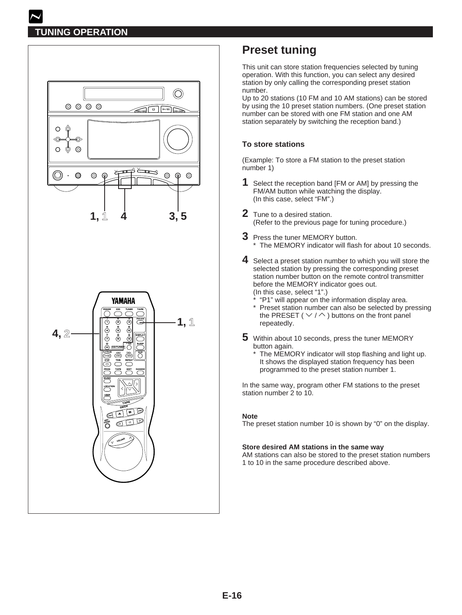

# **Preset tuning**

This unit can store station frequencies selected by tuning operation. With this function, you can select any desired station by only calling the corresponding preset station number.

Up to 20 stations (10 FM and 10 AM stations) can be stored by using the 10 preset station numbers. (One preset station number can be stored with one FM station and one AM station separately by switching the reception band.)

### **To store stations**

(Example: To store a FM station to the preset station number 1)

- **1** Select the reception band [FM or AM] by pressing the FM/AM button while watching the display. (In this case, select "FM".)
- **2** Tune to a desired station. (Refer to the previous page for tuning procedure.)
- **3** Press the tuner MEMORY button. \* The MEMORY indicator will flash for about 10 seconds.
- **4** Select a preset station number to which you will store the selected station by pressing the corresponding preset station number button on the remote control transmitter before the MEMORY indicator goes out. (In this case, select "1".)
	- \* "P1" will appear on the information display area. \* Preset station number can also be selected by pressing the PRESET ( $\vee$  /  $\wedge$ ) buttons on the front panel repeatedly.
- **5** Within about 10 seconds, press the tuner MEMORY button again.
	- The MEMORY indicator will stop flashing and light up. It shows the displayed station frequency has been programmed to the preset station number 1.

In the same way, program other FM stations to the preset station number 2 to 10.

#### **Note**

The preset station number 10 is shown by "0" on the display.

#### **Store desired AM stations in the same way**

AM stations can also be stored to the preset station numbers 1 to 10 in the same procedure described above.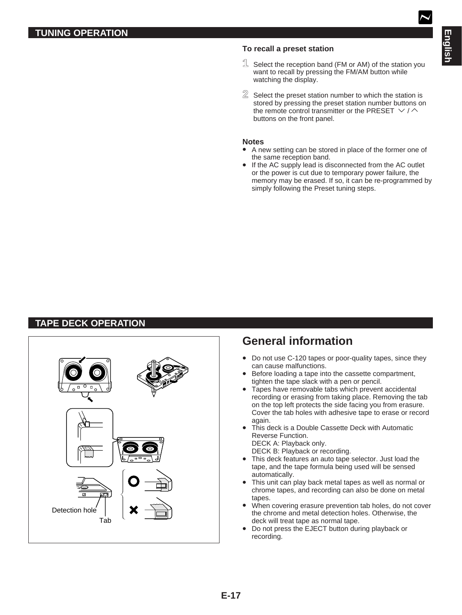### **To recall a preset station**

- **1** Select the reception band (FM or AM) of the station you want to recall by pressing the FM/AM button while watching the display.
- **2** Select the preset station number to which the station is stored by pressing the preset station number buttons on the remote control transmitter or the PRESET  $\vee / \wedge$ buttons on the front panel.

#### **Notes**

- A new setting can be stored in place of the former one of the same reception band.
- If the AC supply lead is disconnected from the AC outlet or the power is cut due to temporary power failure, the memory may be erased. If so, it can be re-programmed by simply following the Preset tuning steps.

# **TAPE DECK OPERATION**



# **General information**

- Do not use C-120 tapes or poor-quality tapes, since they can cause malfunctions.
- Before loading a tape into the cassette compartment, tighten the tape slack with a pen or pencil.
- Tapes have removable tabs which prevent accidental recording or erasing from taking place. Removing the tab on the top left protects the side facing you from erasure. Cover the tab holes with adhesive tape to erase or record again.
- This deck is a Double Cassette Deck with Automatic Reverse Function. DECK A: Playback only.
	- DECK B: Playback or recording.
- This deck features an auto tape selector. Just load the tape, and the tape formula being used will be sensed automatically.
- This unit can play back metal tapes as well as normal or chrome tapes, and recording can also be done on metal tapes.
- When covering erasure prevention tab holes, do not cover the chrome and metal detection holes. Otherwise, the deck will treat tape as normal tape.
- Do not press the EJECT button during playback or recording.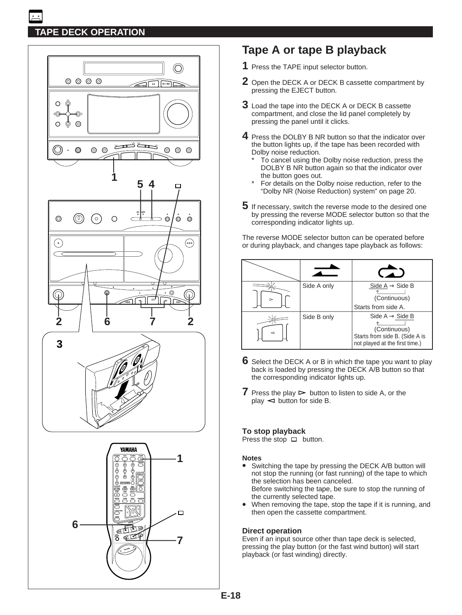# **TAPE DECK OPERATION**



# **Tape A or tape B playback**

- **1** Press the TAPE input selector button.
- **2** Open the DECK A or DECK B cassette compartment by pressing the EJECT button.
- **3** Load the tape into the DECK A or DECK B cassette compartment, and close the lid panel completely by pressing the panel until it clicks.
- **4** Press the DOLBY B NR button so that the indicator over the button lights up, if the tape has been recorded with Dolby noise reduction.
	- To cancel using the Dolby noise reduction, press the DOLBY B NR button again so that the indicator over the button goes out.
	- For details on the Dolby noise reduction, refer to the "Dolby NR (Noise Reduction) system" on page 20.
- **5** If necessary, switch the reverse mode to the desired one by pressing the reverse MODE selector button so that the corresponding indicator lights up.

The reverse MODE selector button can be operated before or during playback, and changes tape playback as follows:



- **6** Select the DECK A or B in which the tape you want to play back is loaded by pressing the DECK A/B button so that the corresponding indicator lights up.
- **7** Press the play  $\triangleright$  button to listen to side A, or the  $play \leq button$  for side B.

#### **To stop playback**

Press the stop  $\Box$  button.

#### **Notes**

- Switching the tape by pressing the DECK A/B button will not stop the running (or fast running) of the tape to which the selection has been canceled. Before switching the tape, be sure to stop the running of the currently selected tape.
- When removing the tape, stop the tape if it is running, and then open the cassette compartment.

#### **Direct operation**

Even if an input source other than tape deck is selected, pressing the play button (or the fast wind button) will start playback (or fast winding) directly.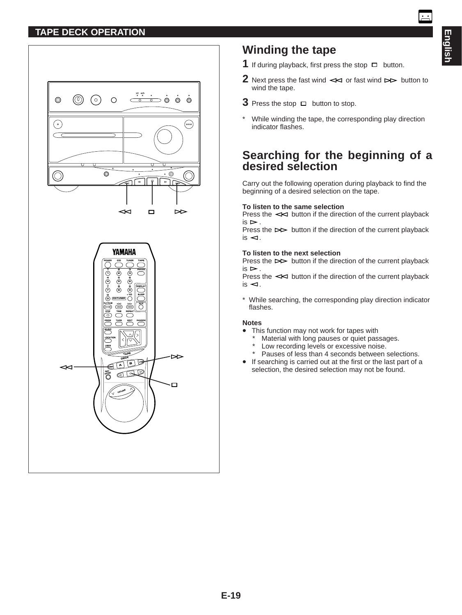### **TAPE DECK OPERATION**



# **Winding the tape**

- **1** If during playback, first press the stop  $\Box$  button.
- **2** Next press the fast wind  $\prec\prec$  or fast wind  $\triangleright\prec$  button to wind the tape.
- **3** Press the stop  $\Box$  button to stop.
- \* While winding the tape, the corresponding play direction indicator flashes.

# **Searching for the beginning of a desired selection**

Carry out the following operation during playback to find the beginning of a desired selection on the tape.

#### **To listen to the same selection**

Press the  $\leq$  button if the direction of the current playback  $is \rightharpoonup$ .

Press the  $\triangleright$  button if the direction of the current playback  $is < 1$ .

#### **To listen to the next selection**

Press the  $\triangleright$  button if the direction of the current playback  $iS \geq$ 

Press the  $\leq$  button if the direction of the current playback  $is <$ 

\* While searching, the corresponding play direction indicator flashes.

#### **Notes**

- This function may not work for tapes with
	- \* Material with long pauses or quiet passages.
	- Low recording levels or excessive noise.
	- \* Pauses of less than 4 seconds between selections.
- If searching is carried out at the first or the last part of a selection, the desired selection may not be found.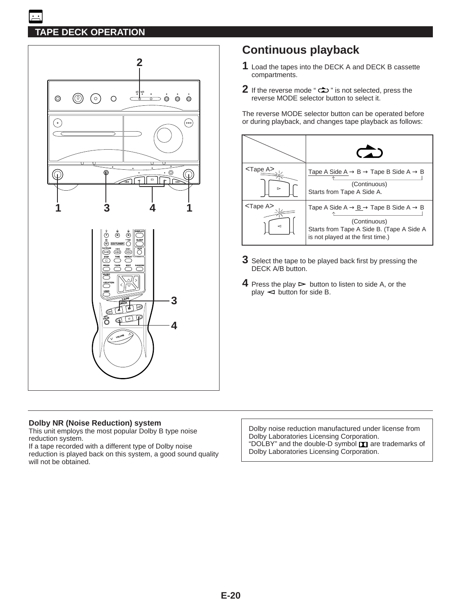# **TAPE DECK OPERATION**



#### **Dolby NR (Noise Reduction) system**

This unit employs the most popular Dolby B type noise reduction system.

If a tape recorded with a different type of Dolby noise reduction is played back on this system, a good sound quality will not be obtained.

# **Continuous playback**

- **1** Load the tapes into the DECK A and DECK B cassette compartments.
- **2** If the reverse mode "  $\Rightarrow$  " is not selected, press the reverse MODE selector button to select it.

The reverse MODE selector button can be operated before or during playback, and changes tape playback as follows:



- **3** Select the tape to be played back first by pressing the DECK A/B button.
- **4** Press the play  $\triangleright$  button to listen to side A, or the  $play \leq button$  for side B.

Dolby noise reduction manufactured under license from Dolby Laboratories Licensing Corporation. "DOLBY" and the double-D symbol DI are trademarks of Dolby Laboratories Licensing Corporation.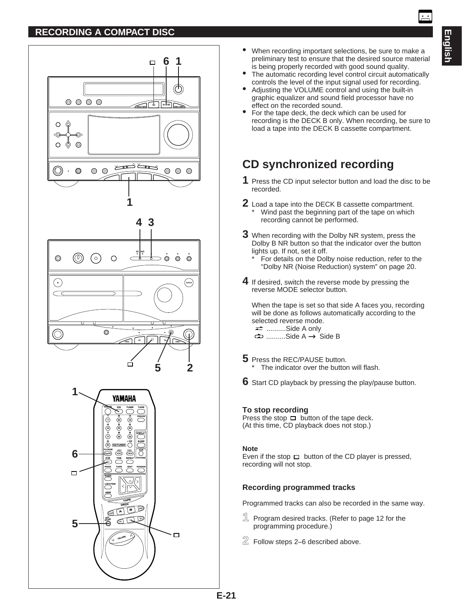### **RECORDING A COMPACT DISC**



- When recording important selections, be sure to make a preliminary test to ensure that the desired source material is being properly recorded with good sound quality.
- The automatic recording level control circuit automatically controls the level of the input signal used for recording.
- Adjusting the VOLUME control and using the built-in graphic equalizer and sound field processor have no effect on the recorded sound.
- For the tape deck, the deck which can be used for recording is the DECK B only. When recording, be sure to load a tape into the DECK B cassette compartment.

# **CD synchronized recording**

- **1** Press the CD input selector button and load the disc to be recorded.
- **2** Load a tape into the DECK B cassette compartment. Wind past the beginning part of the tape on which recording cannot be performed.
- **3** When recording with the Dolby NR system, press the Dolby B NR button so that the indicator over the button lights up. If not, set it off.
	- For details on the Dolby noise reduction, refer to the "Dolby NR (Noise Reduction) system" on page 20.
- **4** If desired, switch the reverse mode by pressing the reverse MODE selector button.

When the tape is set so that side A faces you, recording will be done as follows automatically according to the selected reverse mode. ..........Side A only

- $\Rightarrow$  ..........Side A  $\rightarrow$  Side B
- **5** Press the REC/PAUSE button. The indicator over the button will flash.
- **6** Start CD playback by pressing the play/pause button.

#### **To stop recording**

Press the stop  $\Box$  button of the tape deck. (At this time, CD playback does not stop.)

#### **Note**

Even if the stop  $\Box$  button of the CD player is pressed, recording will not stop.

#### **Recording programmed tracks**

Programmed tracks can also be recorded in the same way.

- **1** Program desired tracks. (Refer to page 12 for the programming procedure.)
- **2** Follow steps 2–6 described above.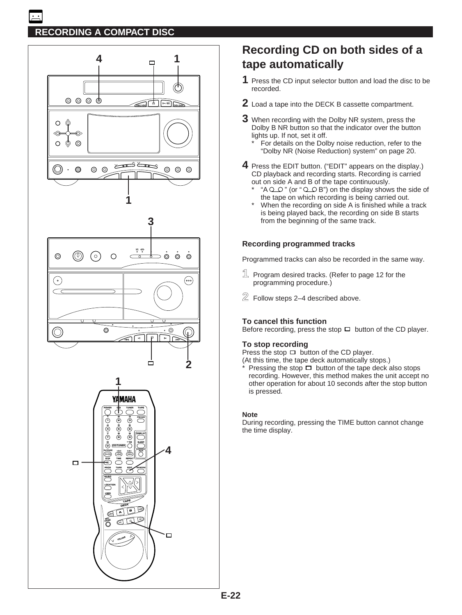

# **Recording CD on both sides of a tape automatically**

- **1** Press the CD input selector button and load the disc to be recorded.
- **2** Load a tape into the DECK B cassette compartment.
- **3** When recording with the Dolby NR system, press the Dolby B NR button so that the indicator over the button lights up. If not, set it off.
	- For details on the Dolby noise reduction, refer to the "Dolby NR (Noise Reduction) system" on page 20.
- **4** Press the EDIT button. ("EDIT" appears on the display.) CD playback and recording starts. Recording is carried out on side A and B of the tape continuously.
	- " $A Q Q$ " (or " $Q Q B$ ") on the display shows the side of the tape on which recording is being carried out.
	- When the recording on side A is finished while a track is being played back, the recording on side B starts from the beginning of the same track.

### **Recording programmed tracks**

Programmed tracks can also be recorded in the same way.

- **1** Program desired tracks. (Refer to page 12 for the programming procedure.)
- **2** Follow steps 2–4 described above.

### **To cancel this function**

Before recording, press the stop  $\Box$  button of the CD player.

#### **To stop recording**

Press the stop  $\Box$  button of the CD player.

(At this time, the tape deck automatically stops.)

Pressing the stop  $\Box$  button of the tape deck also stops recording. However, this method makes the unit accept no other operation for about 10 seconds after the stop button is pressed.

#### **Note**

During recording, pressing the TIME button cannot change the time display.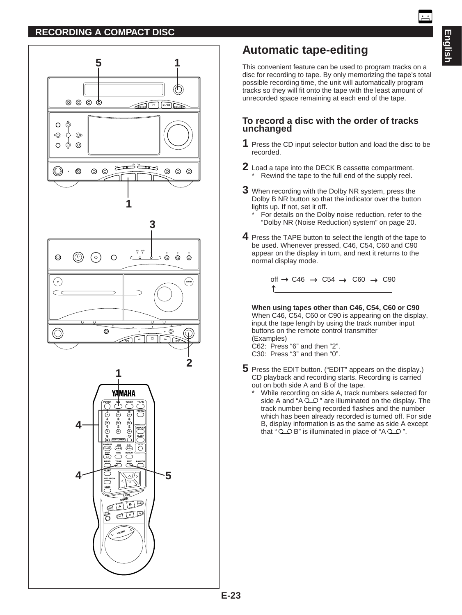### **RECORDING A COMPACT DISC**



# **Automatic tape-editing**

This convenient feature can be used to program tracks on a disc for recording to tape. By only memorizing the tape's total possible recording time, the unit will automatically program tracks so they will fit onto the tape with the least amount of unrecorded space remaining at each end of the tape.

### **To record a disc with the order of tracks unchanged**

- **1** Press the CD input selector button and load the disc to be recorded.
- **2** Load a tape into the DECK B cassette compartment. \* Rewind the tape to the full end of the supply reel.
- **3** When recording with the Dolby NR system, press the Dolby B NR button so that the indicator over the button lights up. If not, set it off.
	- For details on the Dolby noise reduction, refer to the "Dolby NR (Noise Reduction) system" on page 20.
- **4** Press the TAPE button to select the length of the tape to be used. Whenever pressed, C46, C54, C60 and C90 appear on the display in turn, and next it returns to the normal display mode.

 $\text{off} \rightarrow \text{C46} \rightarrow \text{C54} \rightarrow \text{C60} \rightarrow \text{C90}$ ↑

**When using tapes other than C46, C54, C60 or C90** When C46, C54, C60 or C90 is appearing on the display, input the tape length by using the track number input buttons on the remote control transmitter (Examples)

C62: Press "6" and then "2". C30: Press "3" and then "0".

- **5** Press the EDIT button. ("EDIT" appears on the display.) CD playback and recording starts. Recording is carried out on both side A and B of the tape.
	- While recording on side A, track numbers selected for side A and " $A \overset{\sim}{\circ}$   $\circ$ " are illuminated on the display. The track number being recorded flashes and the number which has been already recorded is turned off. For side B, display information is as the same as side A except that " $Q$  $Q$  $B$ " is illuminated in place of "A  $Q$  $Q$ ".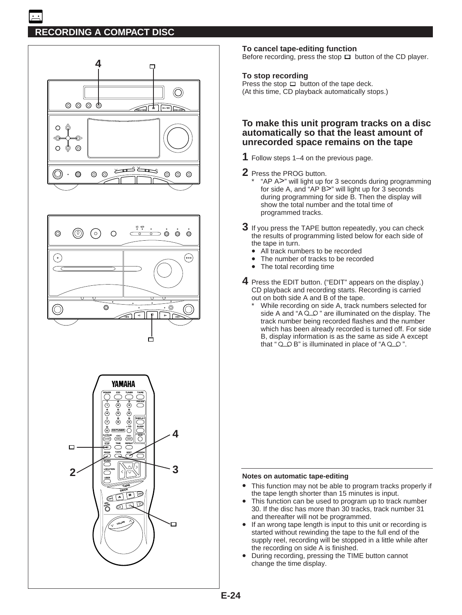# **RECORDING A COMPACT DISC**







#### **To cancel tape-editing function**

Before recording, press the stop  $\Box$  button of the CD player.

#### **To stop recording**

Press the stop  $\Box$  button of the tape deck. (At this time, CD playback automatically stops.)

#### **To make this unit program tracks on a disc automatically so that the least amount of unrecorded space remains on the tape**

- **1** Follow steps 1–4 on the previous page.
- **2** Press the PROG button.
	- \* "AP A>" will light up for 3 seconds during programming for side A, and "AP B>" will light up for 3 seconds during programming for side B. Then the display will show the total number and the total time of programmed tracks.
- **3** If you press the TAPE button repeatedly, you can check the results of programming listed below for each side of the tape in turn.
	- All track numbers to be recorded
	- The number of tracks to be recorded<br>• The total recording time
	- The total recording time
- **4** Press the EDIT button. ("EDIT" appears on the display.) CD playback and recording starts. Recording is carried out on both side A and B of the tape.
	- While recording on side A, track numbers selected for side A and " $A \overline{Q} \overline{Q}$ " are illuminated on the display. The track number being recorded flashes and the number which has been already recorded is turned off. For side B, display information is as the same as side A except that "  $Q$   $Q$   $B$ " is illuminated in place of " $A$  $Q$  $Q$ ".

#### **Notes on automatic tape-editing**

- This function may not be able to program tracks properly if the tape length shorter than 15 minutes is input.
- This function can be used to program up to track number 30. If the disc has more than 30 tracks, track number 31 and thereafter will not be programmed.
- If an wrong tape length is input to this unit or recording is started without rewinding the tape to the full end of the supply reel, recording will be stopped in a little while after the recording on side A is finished.
- During recording, pressing the TIME button cannot change the time display.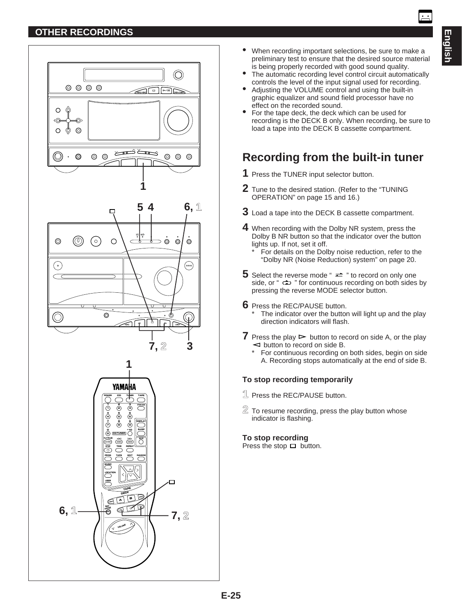# **OTHER RECORDINGS**

- The automatic recording level control circuit automatically controls the level of the input signal used for recording.
- Adjusting the VOLUME control and using the built-in graphic equalizer and sound field processor have no effect on the recorded sound.
- For the tape deck, the deck which can be used for recording is the DECK B only. When recording, be sure to load a tape into the DECK B cassette compartment.

# **Recording from the built-in tuner**

- **1** Press the TUNER input selector button.
- **2** Tune to the desired station. (Refer to the "TUNING OPERATION" on page 15 and 16.)
- **3** Load a tape into the DECK B cassette compartment.
- **4** When recording with the Dolby NR system, press the Dolby B NR button so that the indicator over the button lights up. If not, set it off.
	- For details on the Dolby noise reduction, refer to the "Dolby NR (Noise Reduction) system" on page 20.
- **5** Select the reverse mode " $\rightleftharpoons$  " to record on only one side, or "  $\Rightarrow$  " for continuous recording on both sides by pressing the reverse MODE selector button.
- **6** Press the REC/PAUSE button. The indicator over the button will light up and the play direction indicators will flash.
- **7** Press the play  $\triangleright$  button to record on side A, or the play  $\leq$  button to record on side B.
	- \* For continuous recording on both sides, begin on side A. Recording stops automatically at the end of side B.

### **To stop recording temporarily**

- **1** Press the REC/PAUSE button.
- **2** To resume recording, press the play button whose indicator is flashing.

#### **To stop recording**

Press the stop  $\Box$  button.

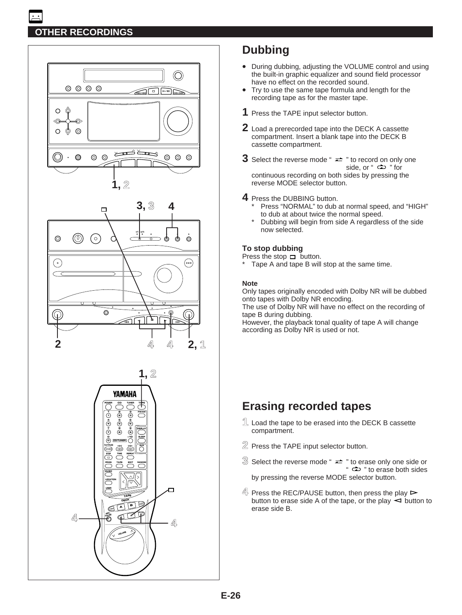# **OTHER RECORDINGS**







# **Dubbing**

- During dubbing, adjusting the VOLUME control and using the built-in graphic equalizer and sound field processor have no effect on the recorded sound.
- Try to use the same tape formula and length for the recording tape as for the master tape.
- **1** Press the TAPE input selector button.
- **2** Load a prerecorded tape into the DECK A cassette compartment. Insert a blank tape into the DECK B cassette compartment.
- **3** Select the reverse mode " $\rightleftharpoons$  " to record on only one side, or " $\Rightarrow$  " for continuous recording on both sides by pressing the

reverse MODE selector button.

- **4** Press the DUBBING button.
	- Press "NORMAL" to dub at normal speed, and "HIGH" to dub at about twice the normal speed.
	- Dubbing will begin from side A regardless of the side now selected.

#### **To stop dubbing**

Press the stop  $\Box$  button.

Tape A and tape B will stop at the same time.

#### **Note**

Only tapes originally encoded with Dolby NR will be dubbed onto tapes with Dolby NR encoding.

The use of Dolby NR will have no effect on the recording of tape B during dubbing.

However, the playback tonal quality of tape A will change according as Dolby NR is used or not.

# **Erasing recorded tapes**

- **1** Load the tape to be erased into the DECK B cassette compartment.
- **2** Press the TAPE input selector button.
- $\Im$  Select the reverse mode "  $\rightleftharpoons$  " to erase only one side or "  $\Leftrightarrow$  " to erase both sides by pressing the reverse MODE selector button.
- $4\frac{1}{2}$  Press the REC/PAUSE button, then press the play  $\triangleright$ button to erase side A of the tape, or the play  $\prec$  button to erase side B.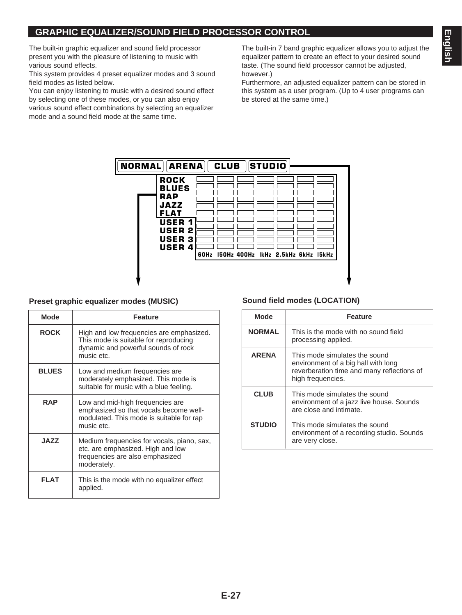The built-in graphic equalizer and sound field processor present you with the pleasure of listening to music with various sound effects.

This system provides 4 preset equalizer modes and 3 sound field modes as listed below.

You can enjoy listening to music with a desired sound effect by selecting one of these modes, or you can also enjoy various sound effect combinations by selecting an equalizer mode and a sound field mode at the same time.

The built-in 7 band graphic equalizer allows you to adjust the equalizer pattern to create an effect to your desired sound taste. (The sound field processor cannot be adjusted, however.)

Furthermore, an adjusted equalizer pattern can be stored in this system as a user program. (Up to 4 user programs can be stored at the same time.)



### **Preset graphic equalizer modes (MUSIC) Sound field modes (LOCATION)**

| Mode         | <b>Feature</b>                                                                                                                         |  |
|--------------|----------------------------------------------------------------------------------------------------------------------------------------|--|
| <b>ROCK</b>  | High and low frequencies are emphasized.<br>This mode is suitable for reproducing<br>dynamic and powerful sounds of rock<br>music etc. |  |
| <b>BLUES</b> | Low and medium frequencies are<br>moderately emphasized. This mode is<br>suitable for music with a blue feeling.                       |  |
| <b>RAP</b>   | Low and mid-high frequencies are<br>emphasized so that vocals become well-<br>modulated. This mode is suitable for rap<br>music etc.   |  |
| <b>JAZZ</b>  | Medium frequencies for vocals, piano, sax,<br>etc. are emphasized. High and low<br>frequencies are also emphasized<br>moderately.      |  |
| FI AT        | This is the mode with no equalizer effect<br>applied.                                                                                  |  |

| Mode          | <b>Feature</b>                                                                                                                          |  |
|---------------|-----------------------------------------------------------------------------------------------------------------------------------------|--|
| <b>NORMAL</b> | This is the mode with no sound field<br>processing applied.                                                                             |  |
| <b>ARENA</b>  | This mode simulates the sound<br>environment of a big hall with long<br>reverberation time and many reflections of<br>high frequencies. |  |
| <b>CLUB</b>   | This mode simulates the sound<br>environment of a jazz live house. Sounds<br>are close and intimate.                                    |  |
| <b>STUDIO</b> | This mode simulates the sound<br>environment of a recording studio. Sounds<br>are very close.                                           |  |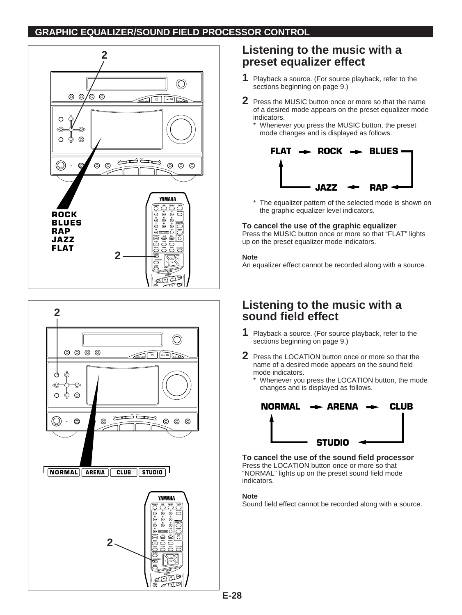### **GRAPHIC EQUALIZER/SOUND FIELD PROCESSOR CONTROL**





# **Listening to the music with a preset equalizer effect**

- **1** Playback a source. (For source playback, refer to the sections beginning on page 9.)
- **2** Press the MUSIC button once or more so that the name of a desired mode appears on the preset equalizer mode indicators.
	- \* Whenever you press the MUSIC button, the preset mode changes and is displayed as follows.



\* The equalizer pattern of the selected mode is shown on the graphic equalizer level indicators.

#### **To cancel the use of the graphic equalizer**

Press the MUSIC button once or more so that "FLAT" lights up on the preset equalizer mode indicators.

#### **Note**

An equalizer effect cannot be recorded along with a source.

# **Listening to the music with a sound field effect**

- **1** Playback a source. (For source playback, refer to the sections beginning on page 9.)
- **2** Press the LOCATION button once or more so that the name of a desired mode appears on the sound field mode indicators.
	- \* Whenever you press the LOCATION button, the mode changes and is displayed as follows.



**To cancel the use of the sound field processor**  Press the LOCATION button once or more so that "NORMAL" lights up on the preset sound field mode indicators.

#### **Note**

Sound field effect cannot be recorded along with a source.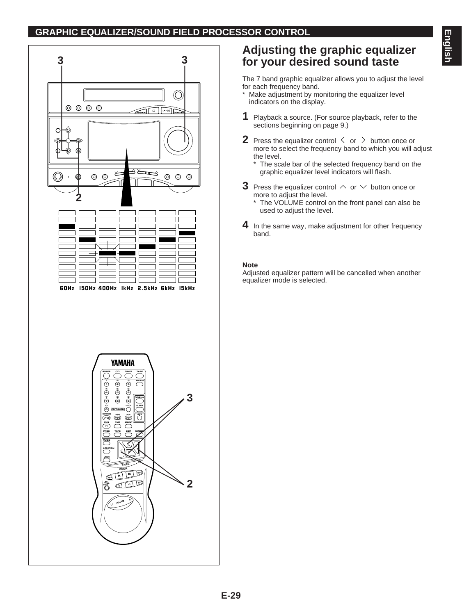### **GRAPHIC EQUALIZER/SOUND FIELD PROCESSOR CONTROL**



# **Adjusting the graphic equalizer for your desired sound taste**

The 7 band graphic equalizer allows you to adjust the level for each frequency band.

- Make adjustment by monitoring the equalizer level indicators on the display.
- **1** Playback a source. (For source playback, refer to the sections beginning on page 9.)
- **2** Press the equalizer control  $\langle$  or  $\rangle$  button once or more to select the frequency band to which you will adjust the level.
	- The scale bar of the selected frequency band on the graphic equalizer level indicators will flash.
- **3** Press the equalizer control  $\land$  or  $\lor$  button once or more to adjust the level.
	- The VOLUME control on the front panel can also be used to adjust the level.
- **4** In the same way, make adjustment for other frequency band.

#### **Note**

Adjusted equalizer pattern will be cancelled when another equalizer mode is selected.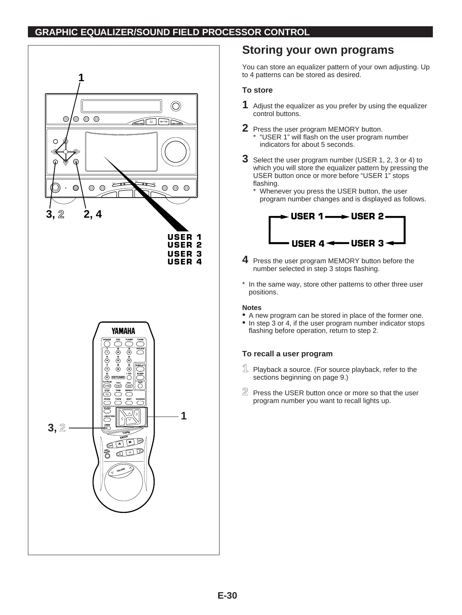### **GRAPHIC EQUALIZER/SOUND FIELD PROCESSOR CONTROL**



# **Storing your own programs**

You can store an equalizer pattern of your own adjusting. Up to 4 patterns can be stored as desired.

#### **To store**

- **1** Adjust the equalizer as you prefer by using the equalizer control buttons.
- **2** Press the user program MEMORY button. \* "USER 1" will flash on the user program number indicators for about 5 seconds.
- **3** Select the user program number (USER 1, 2, 3 or 4) to which you will store the equalizer pattern by pressing the USER button once or more before "USER 1" stops flashing.
	- \* Whenever you press the USER button, the user program number changes and is displayed as follows.



- **4** Press the user program MEMORY button before the number selected in step 3 stops flashing.
- \* In the same way, store other patterns to other three user positions.

#### **Notes**

- A new program can be stored in place of the former one.
- In step 3 or 4, if the user program number indicator stops flashing before operation, return to step 2.

#### **To recall a user program**

- **1** Playback a source. (For source playback, refer to the sections beginning on page 9.)
- **2** Press the USER button once or more so that the user program number you want to recall lights up.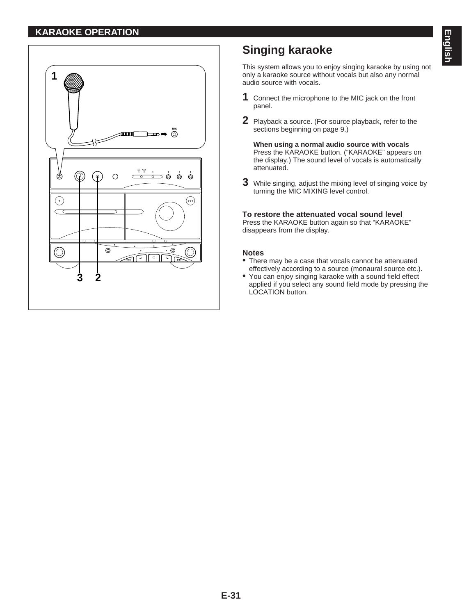### **KARAOKE OPERATION**



# **Singing karaoke**

This system allows you to enjoy singing karaoke by using not only a karaoke source without vocals but also any normal audio source with vocals.

- **1** Connect the microphone to the MIC jack on the front panel.
- **2** Playback a source. (For source playback, refer to the sections beginning on page 9.)

**When using a normal audio source with vocals** Press the KARAOKE button. ("KARAOKE" appears on the display.) The sound level of vocals is automatically attenuated.

**3** While singing, adjust the mixing level of singing voice by turning the MIC MIXING level control.

#### **To restore the attenuated vocal sound level**

Press the KARAOKE button again so that "KARAOKE" disappears from the display.

#### **Notes**

- There may be a case that vocals cannot be attenuated effectively according to a source (monaural source etc.).
- You can enjoy singing karaoke with a sound field effect applied if you select any sound field mode by pressing the LOCATION button.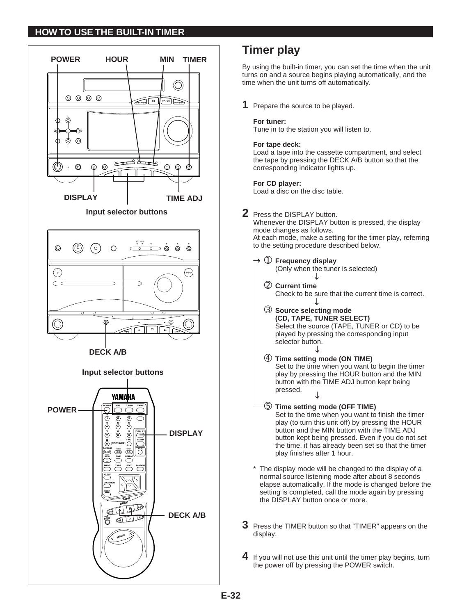### **HOW TO USE THE BUILT-IN TIMER**



# **Timer play**

By using the built-in timer, you can set the time when the unit turns on and a source begins playing automatically, and the time when the unit turns off automatically.

**1** Prepare the source to be played.

#### **For tuner:**

Tune in to the station you will listen to.

#### **For tape deck:**

Load a tape into the cassette compartment, and select the tape by pressing the DECK A/B button so that the corresponding indicator lights up.

#### **For CD player:**

Load a disc on the disc table.

**2** Press the DISPLAY button.

Whenever the DISPLAY button is pressed, the display mode changes as follows. At each mode, make a setting for the timer play, referring to the setting procedure described below.

➀ **Frequency display** →

(Only when the tuner is selected)

- ➁ **Current time**  Check to be sure that the current time is correct. →
- ➂ **Source selecting mode (CD, TAPE, TUNER SELECT)** Select the source (TAPE, TUNER or CD) to be played by pressing the corresponding input selector button. → →
- ➃ **Time setting mode (ON TIME)** Set to the time when you want to begin the timer play by pressing the HOUR button and the MIN button with the TIME ADJ button kept being pressed. →
- ➄ **Time setting mode (OFF TIME)** Set to the time when you want to finish the timer play (to turn this unit off) by pressing the HOUR button and the MIN button with the TIME ADJ button kept being pressed. Even if you do not set the time, it has already been set so that the timer play finishes after 1 hour.
- \* The display mode will be changed to the display of a normal source listening mode after about 8 seconds elapse automatically. If the mode is changed before the setting is completed, call the mode again by pressing the DISPLAY button once or more.
- **3** Press the TIMER button so that "TIMER" appears on the display.
- **4** If you will not use this unit until the timer play begins, turn the power off by pressing the POWER switch.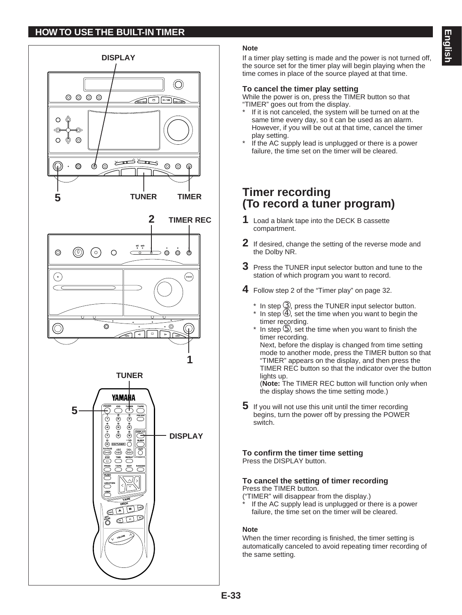# **HOW TO USE THE BUILT-IN TIMER**



#### **Note**

If a timer play setting is made and the power is not turned off, the source set for the timer play will begin playing when the time comes in place of the source played at that time.

#### **To cancel the timer play setting**

While the power is on, press the TIMER button so that "TIMER" goes out from the display.

- If it is not canceled, the system will be turned on at the same time every day, so it can be used as an alarm. However, if you will be out at that time, cancel the timer play setting.
- If the AC supply lead is unplugged or there is a power failure, the time set on the timer will be cleared.

# **Timer recording (To record a tuner program)**

- **1** Load a blank tape into the DECK B cassette compartment.
- **2** If desired, change the setting of the reverse mode and the Dolby NR.
- **3** Press the TUNER input selector button and tune to the station of which program you want to record.
- **4** Follow step 2 of the "Timer play" on page 32.
	- $*$  In step  $\circled{3}$ , press the TUNER input selector button. \* In step  $\circled{4}$ , set the time when you want to begin the timer recording.
	- In step  $\circled{5}$ , set the time when you want to finish the timer recording. Next, before the display is changed from time setting mode to another mode, press the TIMER button so that "TIMER" appears on the display, and then press the TIMER REC button so that the indicator over the button lights up.

(**Note:** The TIMER REC button will function only when the display shows the time setting mode.)

**5** If you will not use this unit until the timer recording begins, turn the power off by pressing the POWER switch.

**To confirm the timer time setting** Press the DISPLAY button.

#### **To cancel the setting of timer recording** Press the TIMER button.

("TIMER" will disappear from the display.)

If the AC supply lead is unplugged or there is a power failure, the time set on the timer will be cleared.

#### **Note**

When the timer recording is finished, the timer setting is automatically canceled to avoid repeating timer recording of the same setting.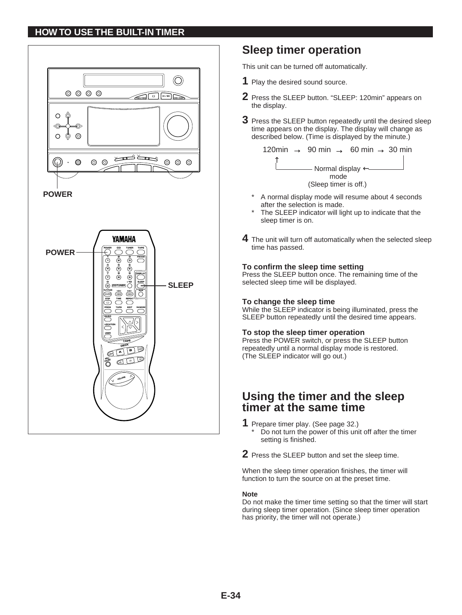### **HOW TO USE THE BUILT-IN TIMER**



# **Sleep timer operation**

This unit can be turned off automatically.

- **1** Play the desired sound source.
- **2** Press the SLEEP button. "SLEEP: 120min" appears on the display.
- **3** Press the SLEEP button repeatedly until the desired sleep time appears on the display. The display will change as described below. (Time is displayed by the minute.)



- A normal display mode will resume about 4 seconds after the selection is made.
- The SLEEP indicator will light up to indicate that the sleep timer is on.
- **4** The unit will turn off automatically when the selected sleep time has passed.

#### **To confirm the sleep time setting**

Press the SLEEP button once. The remaining time of the selected sleep time will be displayed.

#### **To change the sleep time**

While the SLEEP indicator is being illuminated, press the SLEEP button repeatedly until the desired time appears.

#### **To stop the sleep timer operation**

Press the POWER switch, or press the SLEEP button repeatedly until a normal display mode is restored. (The SLEEP indicator will go out.)

# **Using the timer and the sleep timer at the same time**

- **1** Prepare timer play. (See page 32.)
	- Do not turn the power of this unit off after the timer setting is finished.
- **2** Press the SLEEP button and set the sleep time.

When the sleep timer operation finishes, the timer will function to turn the source on at the preset time.

#### **Note**

Do not make the timer time setting so that the timer will start during sleep timer operation. (Since sleep timer operation has priority, the timer will not operate.)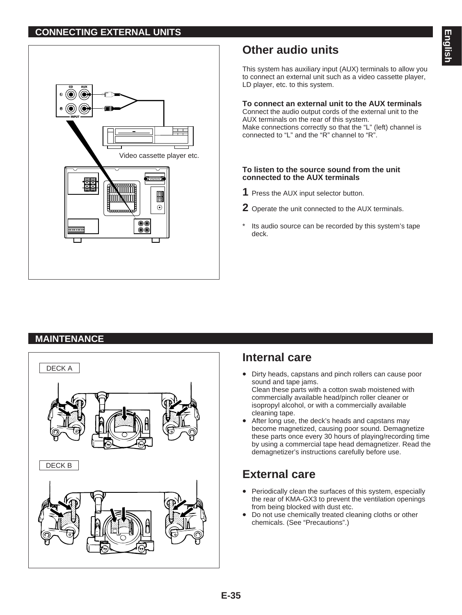### **CONNECTING EXTERNAL UNITS**



# **Other audio units**

This system has auxiliary input (AUX) terminals to allow you to connect an external unit such as a video cassette player, LD player, etc. to this system.

#### **To connect an external unit to the AUX terminals**

Connect the audio output cords of the external unit to the AUX terminals on the rear of this system. Make connections correctly so that the "L" (left) channel is connected to "L" and the "R" channel to "R".

#### **To listen to the source sound from the unit connected to the AUX terminals**

- **1** Press the AUX input selector button.
- **2** Operate the unit connected to the AUX terminals.
- Its audio source can be recorded by this system's tape deck.

# **MAINTENANCE**



# **Internal care**

- Dirty heads, capstans and pinch rollers can cause poor sound and tape jams. Clean these parts with a cotton swab moistened with commercially available head/pinch roller cleaner or
- isopropyl alcohol, or with a commercially available cleaning tape. After long use, the deck's heads and capstans may become magnetized, causing poor sound. Demagnetize
- these parts once every 30 hours of playing/recording time by using a commercial tape head demagnetizer. Read the demagnetizer's instructions carefully before use.

# **External care**

- Periodically clean the surfaces of this system, especially the rear of KMA-GX3 to prevent the ventilation openings from being blocked with dust etc.
- Do not use chemically treated cleaning cloths or other chemicals. (See "Precautions".)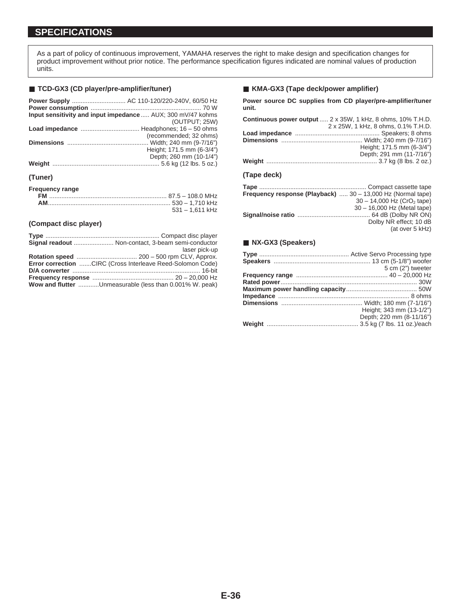### **SPECIFICATIONS**

As a part of policy of continuous improvement, YAMAHA reserves the right to make design and specification changes for product improvement without prior notice. The performance specification figures indicated are nominal values of production units.

#### ■ **TCD-GX3 (CD player/pre-amplifier/tuner)**

|         | Power Supply  AC 110-120/220-240V, 60/50 Hz                 |
|---------|-------------------------------------------------------------|
|         | Input sensitivity and input impedance  AUX; 300 mV/47 kohms |
|         | (OUTPUT: 25W)                                               |
|         |                                                             |
|         | (recommended; 32 ohms)                                      |
|         |                                                             |
|         | Height; 171.5 mm (6-3/4")                                   |
|         | Depth; 260 mm (10-1/4")                                     |
|         |                                                             |
| (Tuner) |                                                             |

| <b>Frequency range</b> |                   |
|------------------------|-------------------|
|                        |                   |
|                        |                   |
|                        | $531 - 1.611$ kHz |

#### **(Compact disc player)**

| Signal readout  Non-contact, 3-beam semi-conductor         |
|------------------------------------------------------------|
| laser pick-up                                              |
|                                                            |
| Error correction CIRC (Cross Interleave Reed-Solomon Code) |
|                                                            |
|                                                            |
| Wow and flutter Unmeasurable (less than 0.001% W. peak)    |

#### ■ **KMA-GX3 (Tape deck/power amplifier)**

**Power source DC supplies from CD player/pre-amplifier/tuner unit.**

|                          | <b>Continuous power output</b> 2 x 35W, 1 kHz, 8 ohms, 10% T.H.D. |
|--------------------------|-------------------------------------------------------------------|
|                          | 2 x 25W, 1 kHz, 8 ohms, 0.1% T.H.D.                               |
|                          |                                                                   |
|                          |                                                                   |
|                          | Height; 171.5 mm (6-3/4")                                         |
|                          | Depth; 291 mm (11-7/16")                                          |
|                          |                                                                   |
| (T <sub>2</sub> na doch) |                                                                   |

#### **(Tape deck)**

| Frequency response (Playback)  30 - 13,000 Hz (Normal tape) |                                          |
|-------------------------------------------------------------|------------------------------------------|
|                                                             | $30 - 14,000$ Hz (CrO <sub>2</sub> tape) |
|                                                             | 30 - 16,000 Hz (Metal tape)              |
|                                                             |                                          |
|                                                             | Dolby NR effect; 10 dB                   |
|                                                             | (at over 5 kHz)                          |
|                                                             |                                          |

#### ■ **NX-GX3** (Speakers)

| 5 cm (2") tweeter        |
|--------------------------|
|                          |
|                          |
|                          |
|                          |
|                          |
| Height; 343 mm (13-1/2") |
| Depth; 220 mm (8-11/16") |
|                          |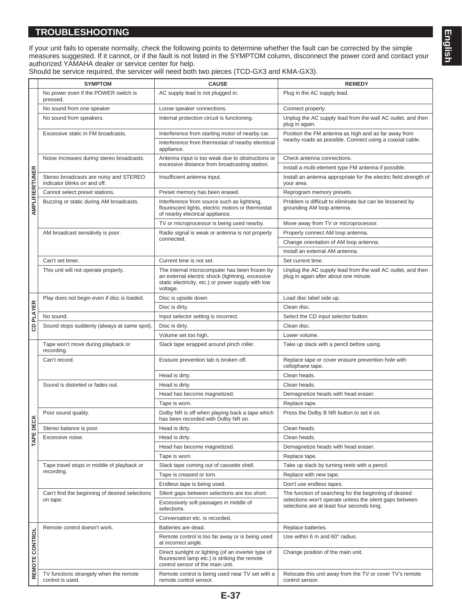### **TROUBLESHOOTING**

|                 | <b>SYMPTOM</b>                                                         | <b>CAUSE</b>                                                                                                                                                        | <b>REMEDY</b>                                                                                         |
|-----------------|------------------------------------------------------------------------|---------------------------------------------------------------------------------------------------------------------------------------------------------------------|-------------------------------------------------------------------------------------------------------|
|                 | No power even if the POWER switch is<br>pressed.                       | AC supply lead is not plugged in.                                                                                                                                   | Plug in the AC supply lead.                                                                           |
|                 | No sound from one speaker                                              | Loose speaker connections.                                                                                                                                          | Connect properly.                                                                                     |
|                 | No sound from speakers.                                                | Internal protection circuit is functioning.                                                                                                                         | Unplug the AC supply lead from the wall AC outlet, and then<br>plug in again.                         |
|                 | Excessive static in FM broadcasts.                                     | Interference from starting motor of nearby car.                                                                                                                     | Position the FM antenna as high and as far away from                                                  |
|                 |                                                                        | Interference from thermostat of nearby electrical<br>appliance.                                                                                                     | nearby roads as possible. Connect using a coaxial cable.                                              |
|                 | Noise increases during stereo broadcasts.                              | Antenna input is too weak due to obstructions or                                                                                                                    | Check antenna connections.                                                                            |
|                 |                                                                        | excessive distance from broadcasting station.                                                                                                                       | Install a multi-element type FM antenna if possible.                                                  |
|                 | Stereo broadcasts are noisy and STEREO<br>indicator blinks on and off. | Insufficient antenna input.                                                                                                                                         | Install an antenna appropriate for the electric field strength of<br>your area.                       |
|                 | Cannot select preset stations.                                         | Preset memory has been erased.                                                                                                                                      | Reprogram memory presets.                                                                             |
| AMPLIFIER/TUNER | Buzzing or static during AM broadcasts.                                | Interference from source such as lightning,<br>flourescent lights, electric motors or thermostat<br>of nearby electrical appliance.                                 | Problem is difficult to eliminate but can be lessened by<br>grounding AM loop antenna.                |
|                 |                                                                        | TV or microprocessor is being used nearby.                                                                                                                          | Move away from TV or microprocessor.                                                                  |
|                 | AM broadcast sensitivity is poor.                                      | Radio signal is weak or antenna is not properly                                                                                                                     | Properly connect AM loop antenna.                                                                     |
|                 |                                                                        | connected.                                                                                                                                                          | Change orientation of AM loop antenna.                                                                |
|                 |                                                                        |                                                                                                                                                                     | Install an external AM antenna.                                                                       |
|                 | Can't set timer.                                                       | Current time is not set.                                                                                                                                            | Set current time.                                                                                     |
|                 | This unit will not operate properly.                                   | The internal microcomputer has been frozen by<br>an external electric shock (lightning, excessive<br>static electricity, etc.) or power supply with low<br>voltage. | Unplug the AC supply lead from the wall AC outlet, and then<br>plug in again after about one minute.  |
|                 | Play does not begin even if disc is loaded.                            | Disc is upside down.                                                                                                                                                | Load disc label side up.                                                                              |
| CD PLAYER       |                                                                        | Disc is dirty.                                                                                                                                                      | Clean disc.                                                                                           |
|                 | No sound.                                                              | Input selector setting is incorrect.                                                                                                                                | Select the CD input selector button.                                                                  |
|                 | Sound stops suddenly (always at same spot).                            | Disc is dirty.                                                                                                                                                      | Clean disc.                                                                                           |
|                 |                                                                        | Volume set too high.                                                                                                                                                | Lower volume.                                                                                         |
|                 | Tape won't move during playback or<br>recording.                       | Slack tape wrapped around pinch roller.                                                                                                                             | Take up slack with a pencil before using.                                                             |
|                 | Can't record.                                                          | Erasure prevention tab is broken off.                                                                                                                               | Replace tape or cover erasure prevention hole with<br>cellophane tape.                                |
|                 |                                                                        | Head is dirty.                                                                                                                                                      | Clean heads.                                                                                          |
|                 | Sound is distorted or fades out.                                       | Head is dirty.                                                                                                                                                      | Clean heads.                                                                                          |
|                 |                                                                        | Head has become magnetized.                                                                                                                                         | Demagnetize heads with head eraser.                                                                   |
|                 |                                                                        | Tape is worn.                                                                                                                                                       | Replace tape.                                                                                         |
| ECK             | Poor sound quality.                                                    | Dolby NR is off when playing back a tape which<br>has been recorded with Dolby NR on.                                                                               | Press the Dolby B NR button to set it on.                                                             |
|                 | Stereo balance is poor.                                                | Head is dirty.                                                                                                                                                      | Clean heads.                                                                                          |
| <b>TAPED</b>    | Excessive noise.                                                       | Head is dirty.                                                                                                                                                      | Clean heads.                                                                                          |
|                 |                                                                        | Head has become magnetized.                                                                                                                                         | Demagnetize heads with head eraser.                                                                   |
|                 |                                                                        | Tape is worn.                                                                                                                                                       | Replace tape.                                                                                         |
|                 | Tape travel stops in middle of playback or                             | Slack tape coming out of cassette shell.                                                                                                                            | Take up slack by turning reels with a pencil.                                                         |
|                 | recording.                                                             | Tape is creased or torn.                                                                                                                                            | Replace with new tape.                                                                                |
|                 |                                                                        | Endless tape is being used.                                                                                                                                         | Don't use endless tapes.                                                                              |
|                 | Can't find the beginning of desired selections                         | Silent gaps between selections are too short.                                                                                                                       | The function of searching for the beginning of desired                                                |
|                 | on tape.                                                               | Excessively soft passages in middle of<br>selections.                                                                                                               | selections won't operate unless the silent gaps between<br>selections are at least four seconds long. |
|                 |                                                                        | Conversation etc. is recorded.                                                                                                                                      |                                                                                                       |
|                 | Remote control doesn't work.                                           | Batteries are dead.                                                                                                                                                 | Replace batteries.                                                                                    |
| REMOTE CONTROL  |                                                                        | Remote control is too far away or is being used<br>at incorrect angle.                                                                                              | Use within 6 m and 60° radius.                                                                        |
|                 |                                                                        | Direct sunlight or lighting (of an inverter type of<br>flourescent lamp etc.) is striking the remote<br>control sensor of the main unit.                            | Change position of the main unit.                                                                     |
|                 | TV functions strangely when the remote<br>control is used.             | Remote control is being used near TV set with a<br>remote control sensor.                                                                                           | Relocate this unit away from the TV or cover TV's remote<br>control sensor.                           |